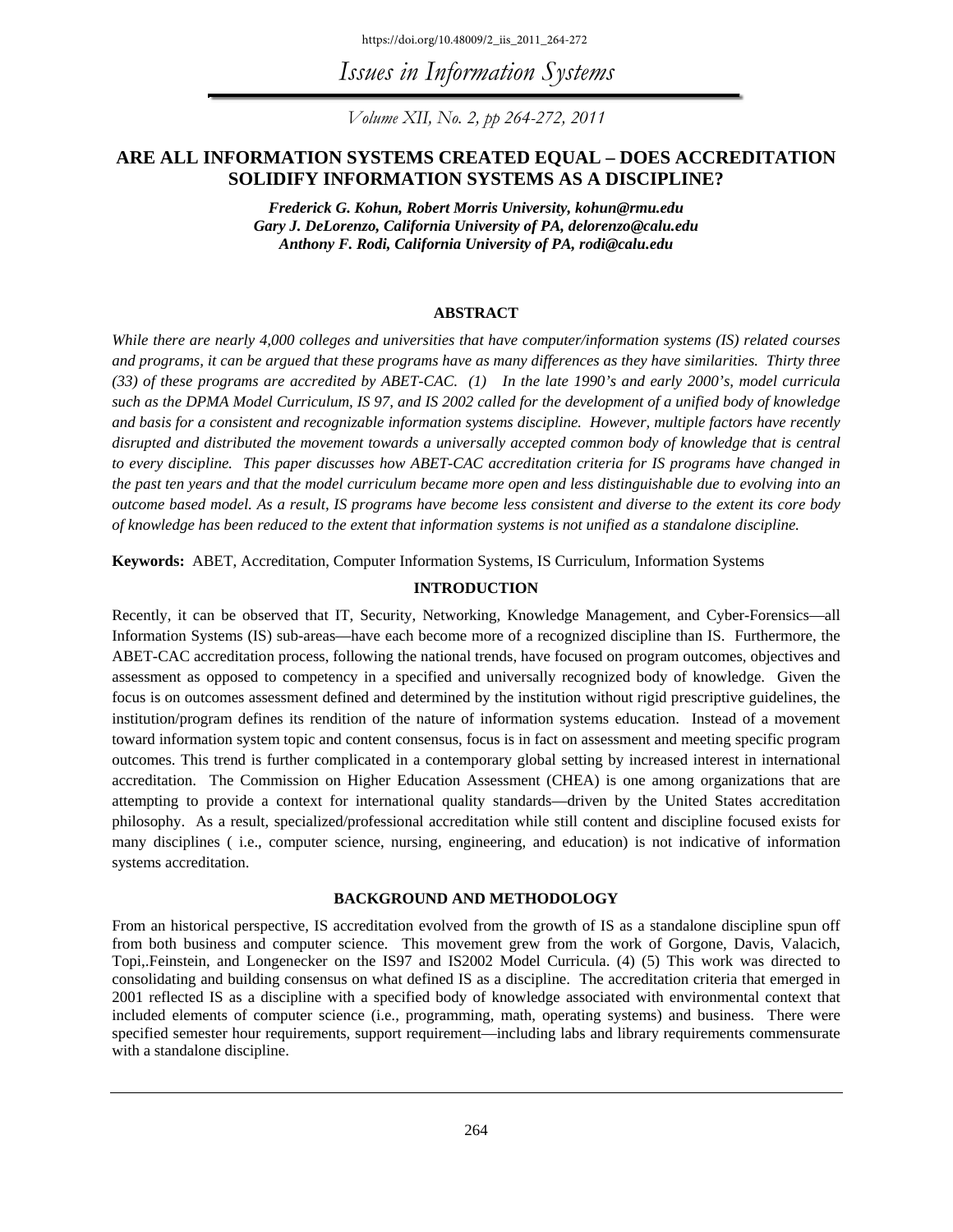https://doi.org/10.48009/2\_iis\_2011\_264-272

*Issues in Information Systems* 

*Volume XII, No. 2, pp 264-272, 2011* 

## **ARE ALL INFORMATION SYSTEMS CREATED EQUAL – DOES ACCREDITATION SOLIDIFY INFORMATION SYSTEMS AS A DISCIPLINE?**

*Frederick G. Kohun, Robert Morris University, kohun@rmu.edu Gary J. DeLorenzo, California University of PA, delorenzo@calu.edu Anthony F. Rodi, California University of PA, rodi@calu.edu* 

#### **ABSTRACT**

*While there are nearly 4,000 colleges and universities that have computer/information systems (IS) related courses and programs, it can be argued that these programs have as many differences as they have similarities. Thirty three (33) of these programs are accredited by ABET-CAC. (1) In the late 1990's and early 2000's, model curricula such as the DPMA Model Curriculum, IS 97, and IS 2002 called for the development of a unified body of knowledge and basis for a consistent and recognizable information systems discipline. However, multiple factors have recently disrupted and distributed the movement towards a universally accepted common body of knowledge that is central to every discipline. This paper discusses how ABET-CAC accreditation criteria for IS programs have changed in the past ten years and that the model curriculum became more open and less distinguishable due to evolving into an outcome based model. As a result, IS programs have become less consistent and diverse to the extent its core body of knowledge has been reduced to the extent that information systems is not unified as a standalone discipline.*

**Keywords:** ABET, Accreditation, Computer Information Systems, IS Curriculum, Information Systems

## **INTRODUCTION**

Recently, it can be observed that IT, Security, Networking, Knowledge Management, and Cyber-Forensics—all Information Systems (IS) sub-areas—have each become more of a recognized discipline than IS. Furthermore, the ABET-CAC accreditation process, following the national trends, have focused on program outcomes, objectives and assessment as opposed to competency in a specified and universally recognized body of knowledge. Given the focus is on outcomes assessment defined and determined by the institution without rigid prescriptive guidelines, the institution/program defines its rendition of the nature of information systems education. Instead of a movement toward information system topic and content consensus, focus is in fact on assessment and meeting specific program outcomes. This trend is further complicated in a contemporary global setting by increased interest in international accreditation. The Commission on Higher Education Assessment (CHEA) is one among organizations that are attempting to provide a context for international quality standards—driven by the United States accreditation philosophy. As a result, specialized/professional accreditation while still content and discipline focused exists for many disciplines ( i.e., computer science, nursing, engineering, and education) is not indicative of information systems accreditation.

## **BACKGROUND AND METHODOLOGY**

From an historical perspective, IS accreditation evolved from the growth of IS as a standalone discipline spun off from both business and computer science. This movement grew from the work of Gorgone, Davis, Valacich, Topi,.Feinstein, and Longenecker on the IS97 and IS2002 Model Curricula. (4) (5) This work was directed to consolidating and building consensus on what defined IS as a discipline. The accreditation criteria that emerged in 2001 reflected IS as a discipline with a specified body of knowledge associated with environmental context that included elements of computer science (i.e., programming, math, operating systems) and business. There were specified semester hour requirements, support requirement—including labs and library requirements commensurate with a standalone discipline.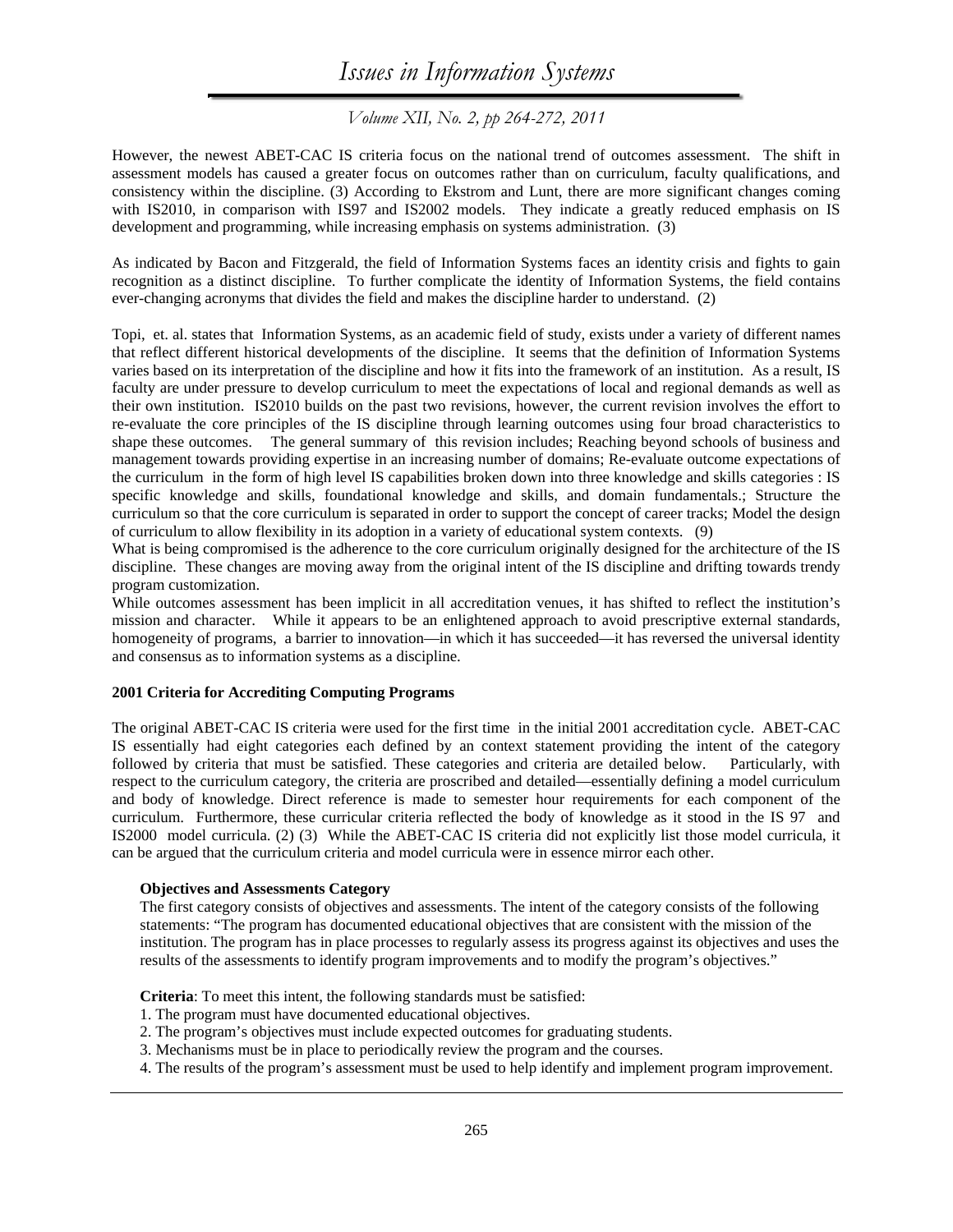*Volume XII, No. 2, pp 264-272, 2011* 

However, the newest ABET-CAC IS criteria focus on the national trend of outcomes assessment. The shift in assessment models has caused a greater focus on outcomes rather than on curriculum, faculty qualifications, and consistency within the discipline. (3) According to Ekstrom and Lunt, there are more significant changes coming with IS2010, in comparison with IS97 and IS2002 models. They indicate a greatly reduced emphasis on IS development and programming, while increasing emphasis on systems administration. (3)

As indicated by Bacon and Fitzgerald, the field of Information Systems faces an identity crisis and fights to gain recognition as a distinct discipline. To further complicate the identity of Information Systems, the field contains ever-changing acronyms that divides the field and makes the discipline harder to understand. (2)

Topi, et. al. states that Information Systems, as an academic field of study, exists under a variety of different names that reflect different historical developments of the discipline. It seems that the definition of Information Systems varies based on its interpretation of the discipline and how it fits into the framework of an institution. As a result, IS faculty are under pressure to develop curriculum to meet the expectations of local and regional demands as well as their own institution. IS2010 builds on the past two revisions, however, the current revision involves the effort to re-evaluate the core principles of the IS discipline through learning outcomes using four broad characteristics to shape these outcomes. The general summary of this revision includes; Reaching beyond schools of business and management towards providing expertise in an increasing number of domains; Re-evaluate outcome expectations of the curriculum in the form of high level IS capabilities broken down into three knowledge and skills categories : IS specific knowledge and skills, foundational knowledge and skills, and domain fundamentals.; Structure the curriculum so that the core curriculum is separated in order to support the concept of career tracks; Model the design of curriculum to allow flexibility in its adoption in a variety of educational system contexts. (9)

What is being compromised is the adherence to the core curriculum originally designed for the architecture of the IS discipline. These changes are moving away from the original intent of the IS discipline and drifting towards trendy program customization.

While outcomes assessment has been implicit in all accreditation venues, it has shifted to reflect the institution's mission and character. While it appears to be an enlightened approach to avoid prescriptive external standards, homogeneity of programs, a barrier to innovation—in which it has succeeded—it has reversed the universal identity and consensus as to information systems as a discipline.

## **2001 Criteria for Accrediting Computing Programs**

The original ABET-CAC IS criteria were used for the first time in the initial 2001 accreditation cycle. ABET-CAC IS essentially had eight categories each defined by an context statement providing the intent of the category followed by criteria that must be satisfied. These categories and criteria are detailed below. Particularly, with respect to the curriculum category, the criteria are proscribed and detailed—essentially defining a model curriculum and body of knowledge. Direct reference is made to semester hour requirements for each component of the curriculum. Furthermore, these curricular criteria reflected the body of knowledge as it stood in the IS 97 and IS2000 model curricula. (2) (3) While the ABET-CAC IS criteria did not explicitly list those model curricula, it can be argued that the curriculum criteria and model curricula were in essence mirror each other.

#### **Objectives and Assessments Category**

The first category consists of objectives and assessments. The intent of the category consists of the following statements: "The program has documented educational objectives that are consistent with the mission of the institution. The program has in place processes to regularly assess its progress against its objectives and uses the results of the assessments to identify program improvements and to modify the program's objectives."

**Criteria**: To meet this intent, the following standards must be satisfied:

- 1. The program must have documented educational objectives.
- 2. The program's objectives must include expected outcomes for graduating students.
- 3. Mechanisms must be in place to periodically review the program and the courses.
- 4. The results of the program's assessment must be used to help identify and implement program improvement.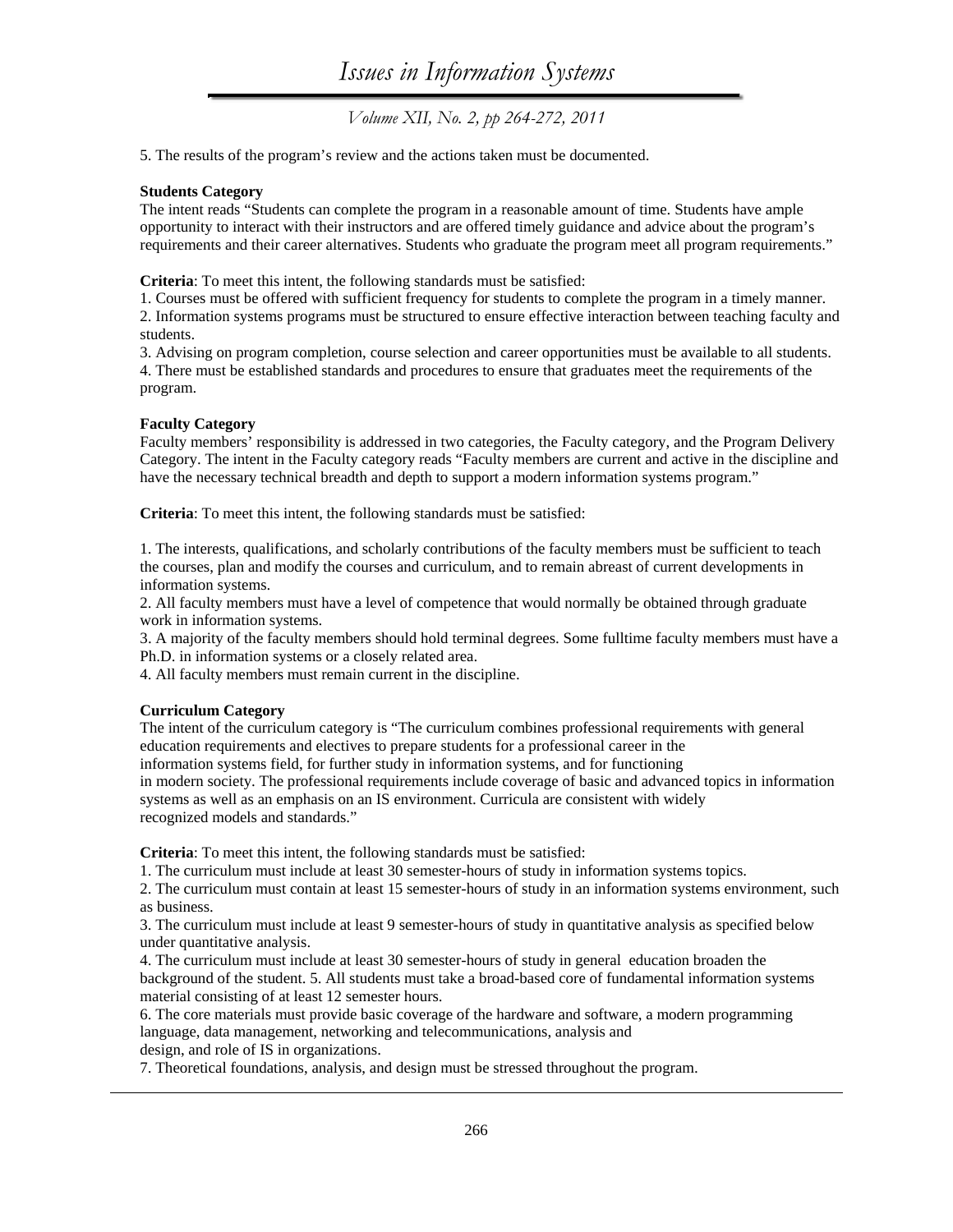5. The results of the program's review and the actions taken must be documented.

## **Students Category**

The intent reads "Students can complete the program in a reasonable amount of time. Students have ample opportunity to interact with their instructors and are offered timely guidance and advice about the program's requirements and their career alternatives. Students who graduate the program meet all program requirements."

**Criteria**: To meet this intent, the following standards must be satisfied:

1. Courses must be offered with sufficient frequency for students to complete the program in a timely manner. 2. Information systems programs must be structured to ensure effective interaction between teaching faculty and students.

3. Advising on program completion, course selection and career opportunities must be available to all students. 4. There must be established standards and procedures to ensure that graduates meet the requirements of the program.

## **Faculty Category**

Faculty members' responsibility is addressed in two categories, the Faculty category, and the Program Delivery Category. The intent in the Faculty category reads "Faculty members are current and active in the discipline and have the necessary technical breadth and depth to support a modern information systems program."

**Criteria**: To meet this intent, the following standards must be satisfied:

1. The interests, qualifications, and scholarly contributions of the faculty members must be sufficient to teach the courses, plan and modify the courses and curriculum, and to remain abreast of current developments in information systems.

2. All faculty members must have a level of competence that would normally be obtained through graduate work in information systems.

3. A majority of the faculty members should hold terminal degrees. Some fulltime faculty members must have a Ph.D. in information systems or a closely related area.

4. All faculty members must remain current in the discipline.

## **Curriculum Category**

The intent of the curriculum category is "The curriculum combines professional requirements with general education requirements and electives to prepare students for a professional career in the information systems field, for further study in information systems, and for functioning in modern society. The professional requirements include coverage of basic and advanced topics in information systems as well as an emphasis on an IS environment. Curricula are consistent with widely recognized models and standards."

**Criteria**: To meet this intent, the following standards must be satisfied:

1. The curriculum must include at least 30 semester-hours of study in information systems topics.

2. The curriculum must contain at least 15 semester-hours of study in an information systems environment, such as business.

3. The curriculum must include at least 9 semester-hours of study in quantitative analysis as specified below under quantitative analysis.

4. The curriculum must include at least 30 semester-hours of study in general education broaden the background of the student. 5. All students must take a broad-based core of fundamental information systems material consisting of at least 12 semester hours.

6. The core materials must provide basic coverage of the hardware and software, a modern programming language, data management, networking and telecommunications, analysis and design, and role of IS in organizations.

7. Theoretical foundations, analysis, and design must be stressed throughout the program.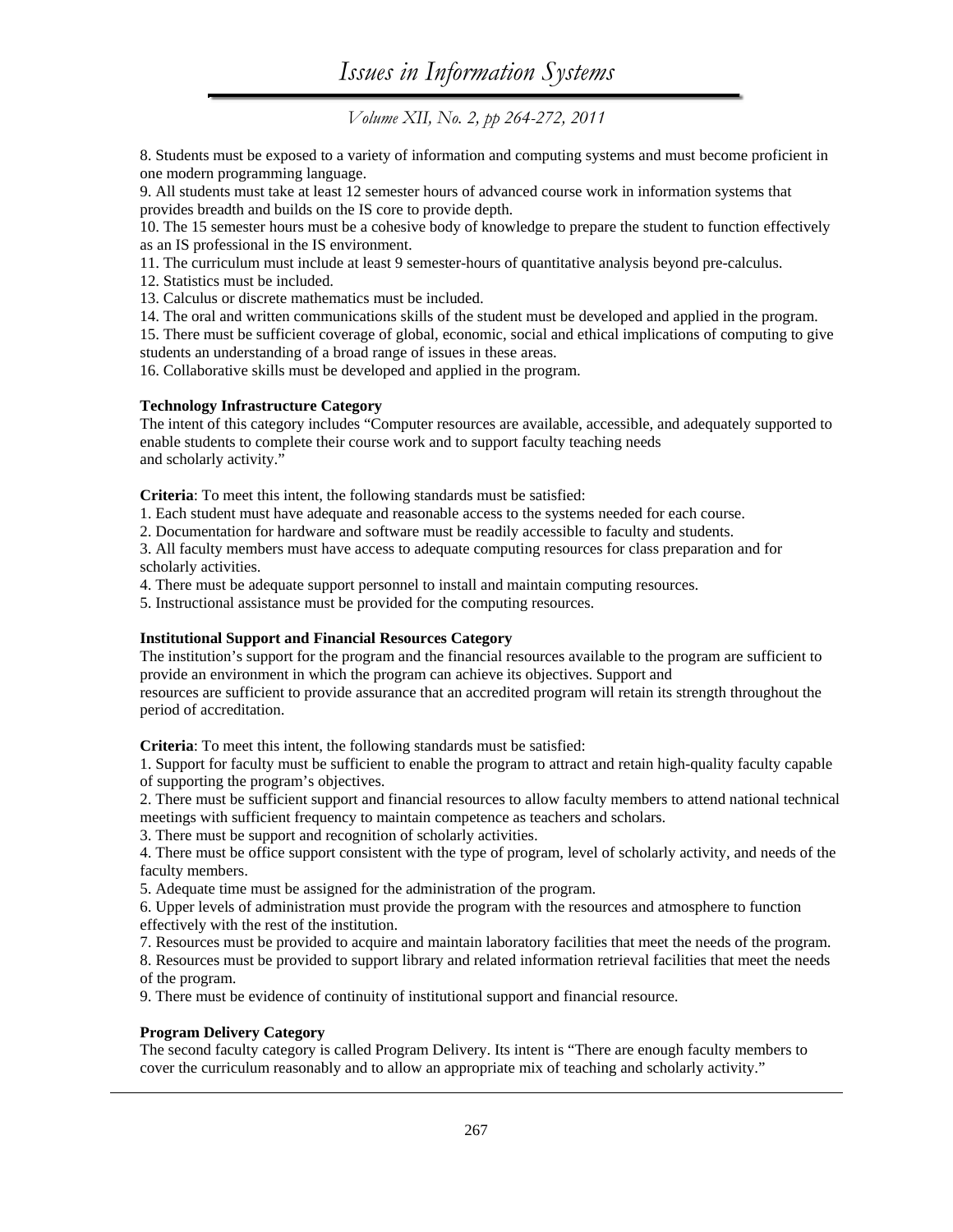8. Students must be exposed to a variety of information and computing systems and must become proficient in one modern programming language.

9. All students must take at least 12 semester hours of advanced course work in information systems that provides breadth and builds on the IS core to provide depth.

10. The 15 semester hours must be a cohesive body of knowledge to prepare the student to function effectively as an IS professional in the IS environment.

11. The curriculum must include at least 9 semester-hours of quantitative analysis beyond pre-calculus.

12. Statistics must be included.

13. Calculus or discrete mathematics must be included.

14. The oral and written communications skills of the student must be developed and applied in the program.

15. There must be sufficient coverage of global, economic, social and ethical implications of computing to give students an understanding of a broad range of issues in these areas.

16. Collaborative skills must be developed and applied in the program.

## **Technology Infrastructure Category**

The intent of this category includes "Computer resources are available, accessible, and adequately supported to enable students to complete their course work and to support faculty teaching needs and scholarly activity."

**Criteria**: To meet this intent, the following standards must be satisfied:

1. Each student must have adequate and reasonable access to the systems needed for each course.

2. Documentation for hardware and software must be readily accessible to faculty and students.

3. All faculty members must have access to adequate computing resources for class preparation and for scholarly activities.

4. There must be adequate support personnel to install and maintain computing resources.

5. Instructional assistance must be provided for the computing resources.

## **Institutional Support and Financial Resources Category**

The institution's support for the program and the financial resources available to the program are sufficient to provide an environment in which the program can achieve its objectives. Support and resources are sufficient to provide assurance that an accredited program will retain its strength throughout the period of accreditation.

**Criteria**: To meet this intent, the following standards must be satisfied:

1. Support for faculty must be sufficient to enable the program to attract and retain high-quality faculty capable of supporting the program's objectives.

2. There must be sufficient support and financial resources to allow faculty members to attend national technical meetings with sufficient frequency to maintain competence as teachers and scholars.

3. There must be support and recognition of scholarly activities.

4. There must be office support consistent with the type of program, level of scholarly activity, and needs of the faculty members.

5. Adequate time must be assigned for the administration of the program.

6. Upper levels of administration must provide the program with the resources and atmosphere to function effectively with the rest of the institution.

7. Resources must be provided to acquire and maintain laboratory facilities that meet the needs of the program.

8. Resources must be provided to support library and related information retrieval facilities that meet the needs of the program.

9. There must be evidence of continuity of institutional support and financial resource.

## **Program Delivery Category**

The second faculty category is called Program Delivery. Its intent is "There are enough faculty members to cover the curriculum reasonably and to allow an appropriate mix of teaching and scholarly activity."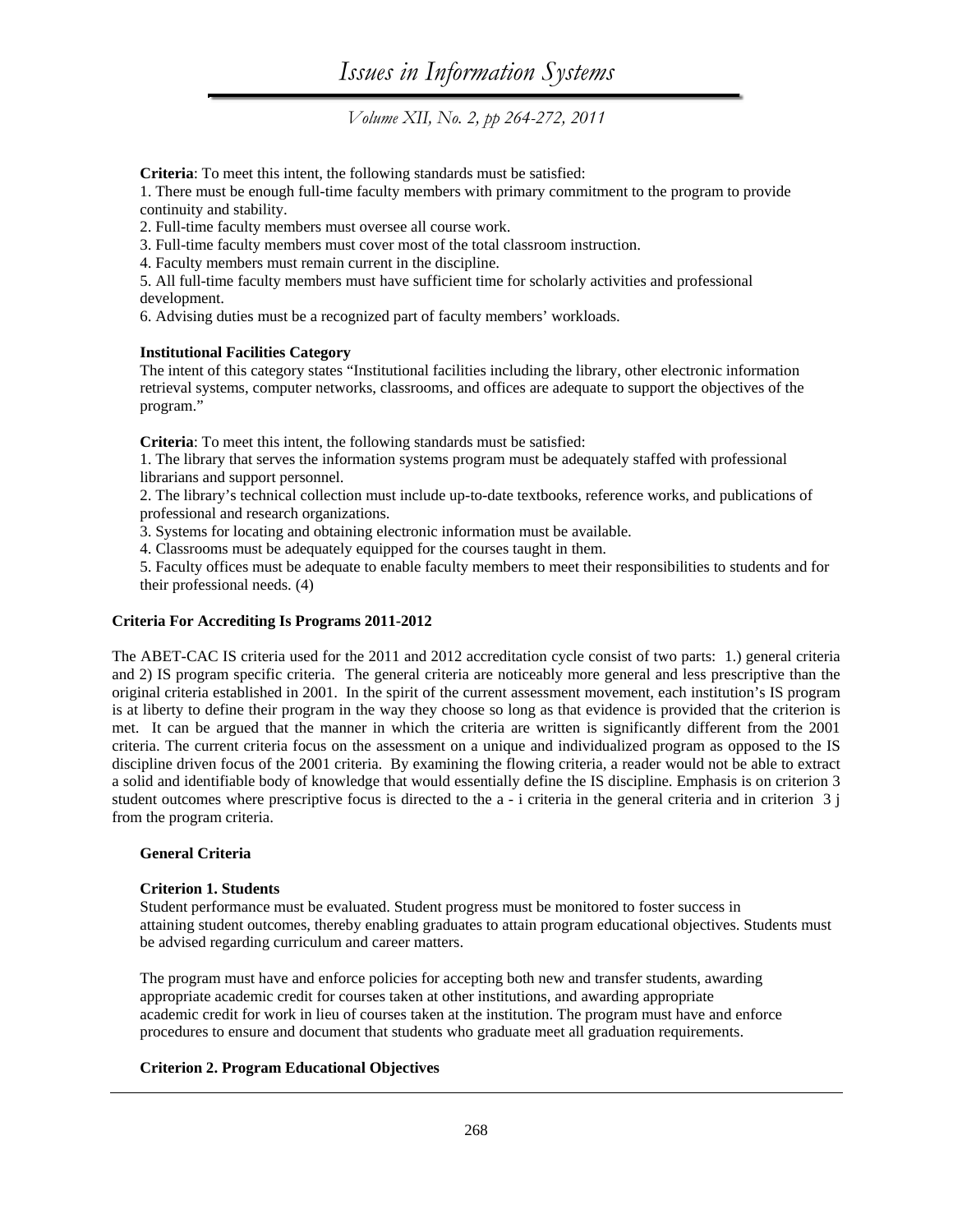**Criteria**: To meet this intent, the following standards must be satisfied:

1. There must be enough full-time faculty members with primary commitment to the program to provide continuity and stability.

2. Full-time faculty members must oversee all course work.

3. Full-time faculty members must cover most of the total classroom instruction.

4. Faculty members must remain current in the discipline.

5. All full-time faculty members must have sufficient time for scholarly activities and professional development.

6. Advising duties must be a recognized part of faculty members' workloads.

### **Institutional Facilities Category**

The intent of this category states "Institutional facilities including the library, other electronic information retrieval systems, computer networks, classrooms, and offices are adequate to support the objectives of the program."

**Criteria**: To meet this intent, the following standards must be satisfied:

1. The library that serves the information systems program must be adequately staffed with professional librarians and support personnel.

2. The library's technical collection must include up-to-date textbooks, reference works, and publications of professional and research organizations.

3. Systems for locating and obtaining electronic information must be available.

4. Classrooms must be adequately equipped for the courses taught in them.

5. Faculty offices must be adequate to enable faculty members to meet their responsibilities to students and for their professional needs. (4)

## **Criteria For Accrediting Is Programs 2011-2012**

The ABET-CAC IS criteria used for the 2011 and 2012 accreditation cycle consist of two parts: 1.) general criteria and 2) IS program specific criteria. The general criteria are noticeably more general and less prescriptive than the original criteria established in 2001. In the spirit of the current assessment movement, each institution's IS program is at liberty to define their program in the way they choose so long as that evidence is provided that the criterion is met. It can be argued that the manner in which the criteria are written is significantly different from the 2001 criteria. The current criteria focus on the assessment on a unique and individualized program as opposed to the IS discipline driven focus of the 2001 criteria. By examining the flowing criteria, a reader would not be able to extract a solid and identifiable body of knowledge that would essentially define the IS discipline. Emphasis is on criterion 3 student outcomes where prescriptive focus is directed to the  $a - i$  criteria in the general criteria and in criterion  $3 \nmid$ from the program criteria.

#### **General Criteria**

## **Criterion 1. Students**

Student performance must be evaluated. Student progress must be monitored to foster success in attaining student outcomes, thereby enabling graduates to attain program educational objectives. Students must be advised regarding curriculum and career matters.

The program must have and enforce policies for accepting both new and transfer students, awarding appropriate academic credit for courses taken at other institutions, and awarding appropriate academic credit for work in lieu of courses taken at the institution. The program must have and enforce procedures to ensure and document that students who graduate meet all graduation requirements.

## **Criterion 2. Program Educational Objectives**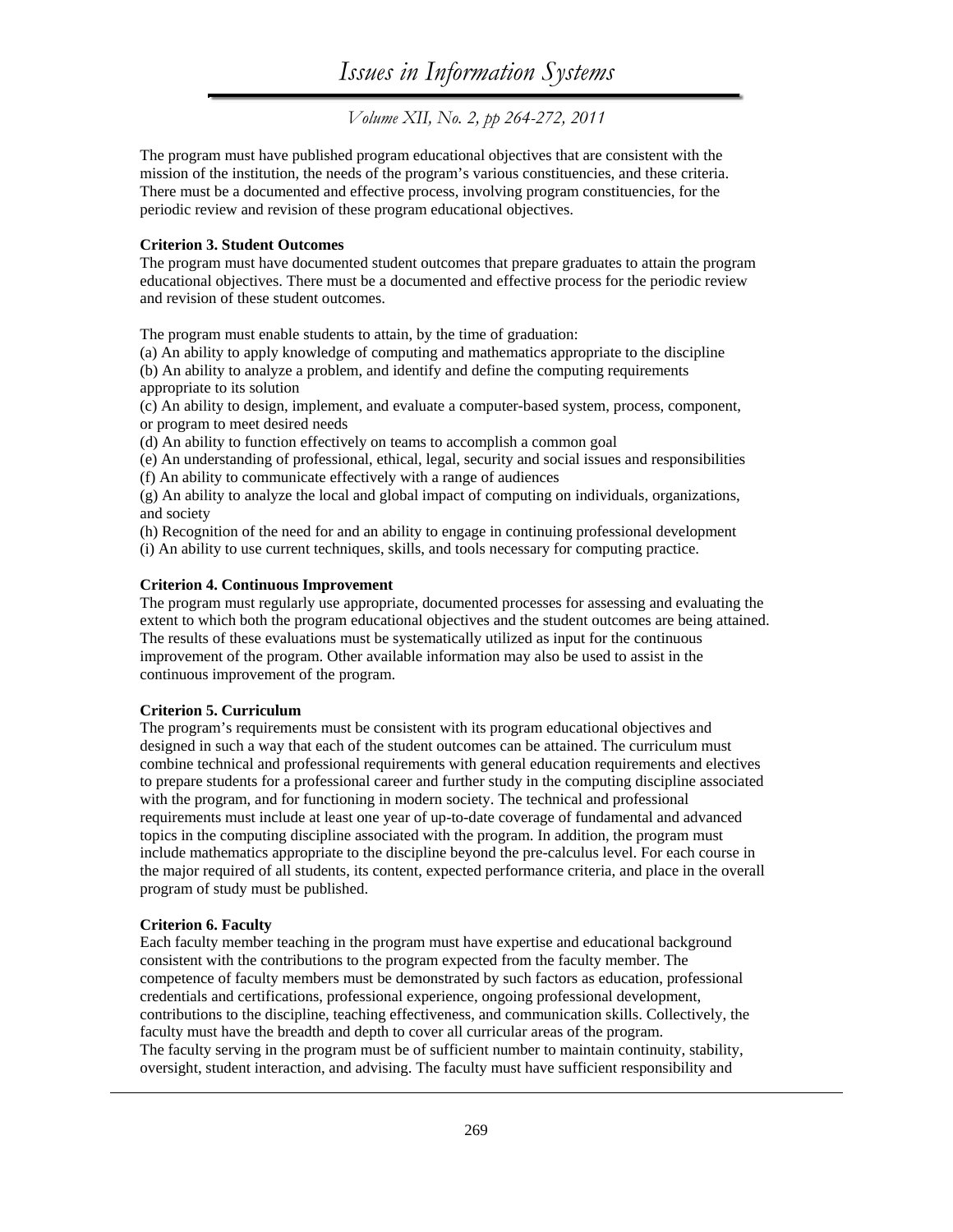The program must have published program educational objectives that are consistent with the mission of the institution, the needs of the program's various constituencies, and these criteria. There must be a documented and effective process, involving program constituencies, for the periodic review and revision of these program educational objectives.

#### **Criterion 3. Student Outcomes**

The program must have documented student outcomes that prepare graduates to attain the program educational objectives. There must be a documented and effective process for the periodic review and revision of these student outcomes.

The program must enable students to attain, by the time of graduation:

(a) An ability to apply knowledge of computing and mathematics appropriate to the discipline (b) An ability to analyze a problem, and identify and define the computing requirements appropriate to its solution

(c) An ability to design, implement, and evaluate a computer-based system, process, component, or program to meet desired needs

(d) An ability to function effectively on teams to accomplish a common goal

(e) An understanding of professional, ethical, legal, security and social issues and responsibilities

(f) An ability to communicate effectively with a range of audiences

(g) An ability to analyze the local and global impact of computing on individuals, organizations, and society

(h) Recognition of the need for and an ability to engage in continuing professional development

(i) An ability to use current techniques, skills, and tools necessary for computing practice.

#### **Criterion 4. Continuous Improvement**

The program must regularly use appropriate, documented processes for assessing and evaluating the extent to which both the program educational objectives and the student outcomes are being attained. The results of these evaluations must be systematically utilized as input for the continuous improvement of the program. Other available information may also be used to assist in the continuous improvement of the program.

#### **Criterion 5. Curriculum**

The program's requirements must be consistent with its program educational objectives and designed in such a way that each of the student outcomes can be attained. The curriculum must combine technical and professional requirements with general education requirements and electives to prepare students for a professional career and further study in the computing discipline associated with the program, and for functioning in modern society. The technical and professional requirements must include at least one year of up-to-date coverage of fundamental and advanced topics in the computing discipline associated with the program. In addition, the program must include mathematics appropriate to the discipline beyond the pre-calculus level. For each course in the major required of all students, its content, expected performance criteria, and place in the overall program of study must be published.

## **Criterion 6. Faculty**

Each faculty member teaching in the program must have expertise and educational background consistent with the contributions to the program expected from the faculty member. The competence of faculty members must be demonstrated by such factors as education, professional credentials and certifications, professional experience, ongoing professional development, contributions to the discipline, teaching effectiveness, and communication skills. Collectively, the faculty must have the breadth and depth to cover all curricular areas of the program. The faculty serving in the program must be of sufficient number to maintain continuity, stability, oversight, student interaction, and advising. The faculty must have sufficient responsibility and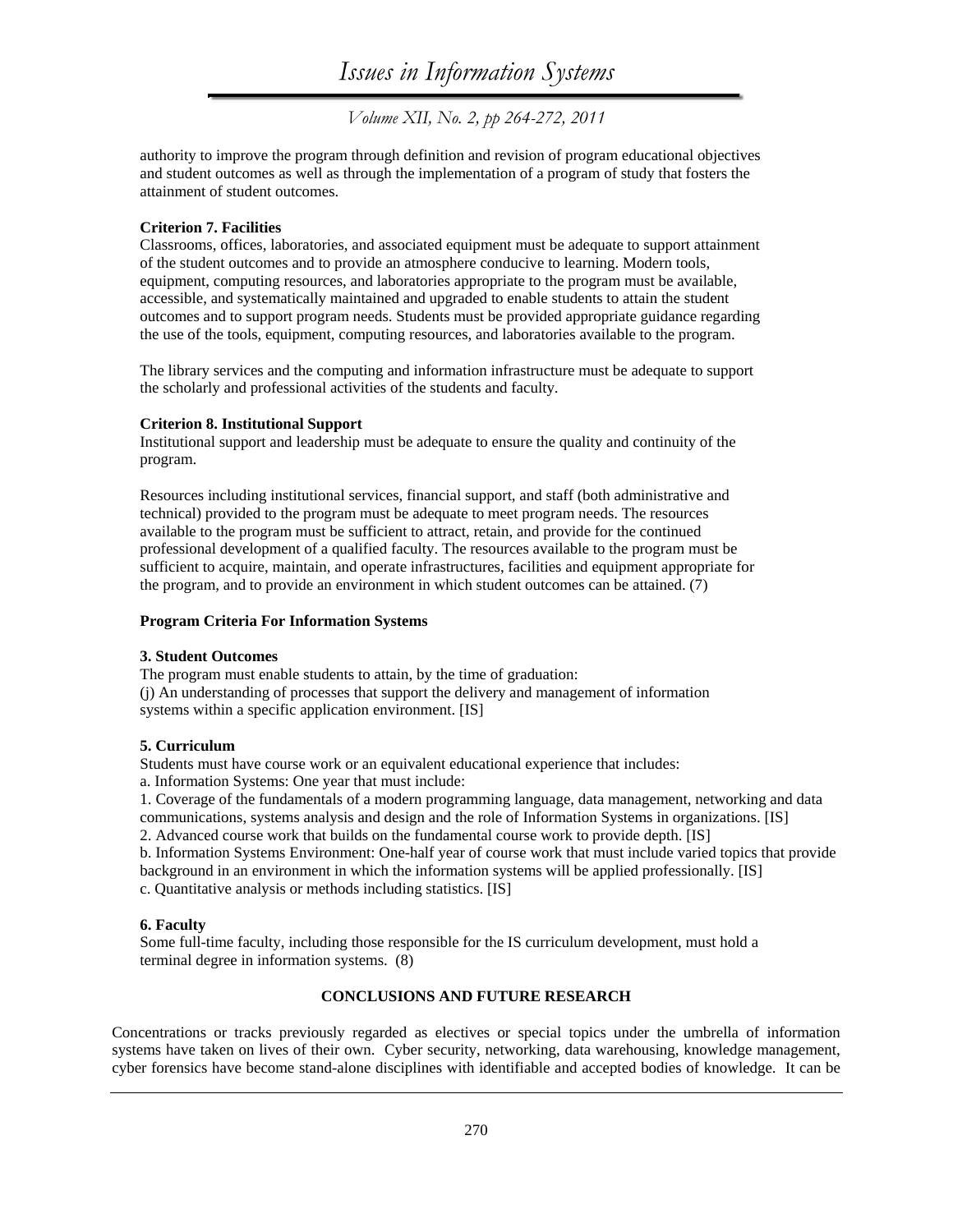*Volume XII, No. 2, pp 264-272, 2011* 

authority to improve the program through definition and revision of program educational objectives and student outcomes as well as through the implementation of a program of study that fosters the attainment of student outcomes.

#### **Criterion 7. Facilities**

Classrooms, offices, laboratories, and associated equipment must be adequate to support attainment of the student outcomes and to provide an atmosphere conducive to learning. Modern tools, equipment, computing resources, and laboratories appropriate to the program must be available, accessible, and systematically maintained and upgraded to enable students to attain the student outcomes and to support program needs. Students must be provided appropriate guidance regarding the use of the tools, equipment, computing resources, and laboratories available to the program.

The library services and the computing and information infrastructure must be adequate to support the scholarly and professional activities of the students and faculty.

#### **Criterion 8. Institutional Support**

Institutional support and leadership must be adequate to ensure the quality and continuity of the program.

Resources including institutional services, financial support, and staff (both administrative and technical) provided to the program must be adequate to meet program needs. The resources available to the program must be sufficient to attract, retain, and provide for the continued professional development of a qualified faculty. The resources available to the program must be sufficient to acquire, maintain, and operate infrastructures, facilities and equipment appropriate for the program, and to provide an environment in which student outcomes can be attained. (7)

#### **Program Criteria For Information Systems**

#### **3. Student Outcomes**

The program must enable students to attain, by the time of graduation: (j) An understanding of processes that support the delivery and management of information systems within a specific application environment. [IS]

#### **5. Curriculum**

Students must have course work or an equivalent educational experience that includes:

a. Information Systems: One year that must include:

1. Coverage of the fundamentals of a modern programming language, data management, networking and data communications, systems analysis and design and the role of Information Systems in organizations. [IS]

2. Advanced course work that builds on the fundamental course work to provide depth. [IS]

b. Information Systems Environment: One-half year of course work that must include varied topics that provide background in an environment in which the information systems will be applied professionally. [IS] c. Quantitative analysis or methods including statistics. [IS]

#### **6. Faculty**

Some full-time faculty, including those responsible for the IS curriculum development, must hold a terminal degree in information systems.(8)

#### **CONCLUSIONS AND FUTURE RESEARCH**

Concentrations or tracks previously regarded as electives or special topics under the umbrella of information systems have taken on lives of their own. Cyber security, networking, data warehousing, knowledge management, cyber forensics have become stand-alone disciplines with identifiable and accepted bodies of knowledge. It can be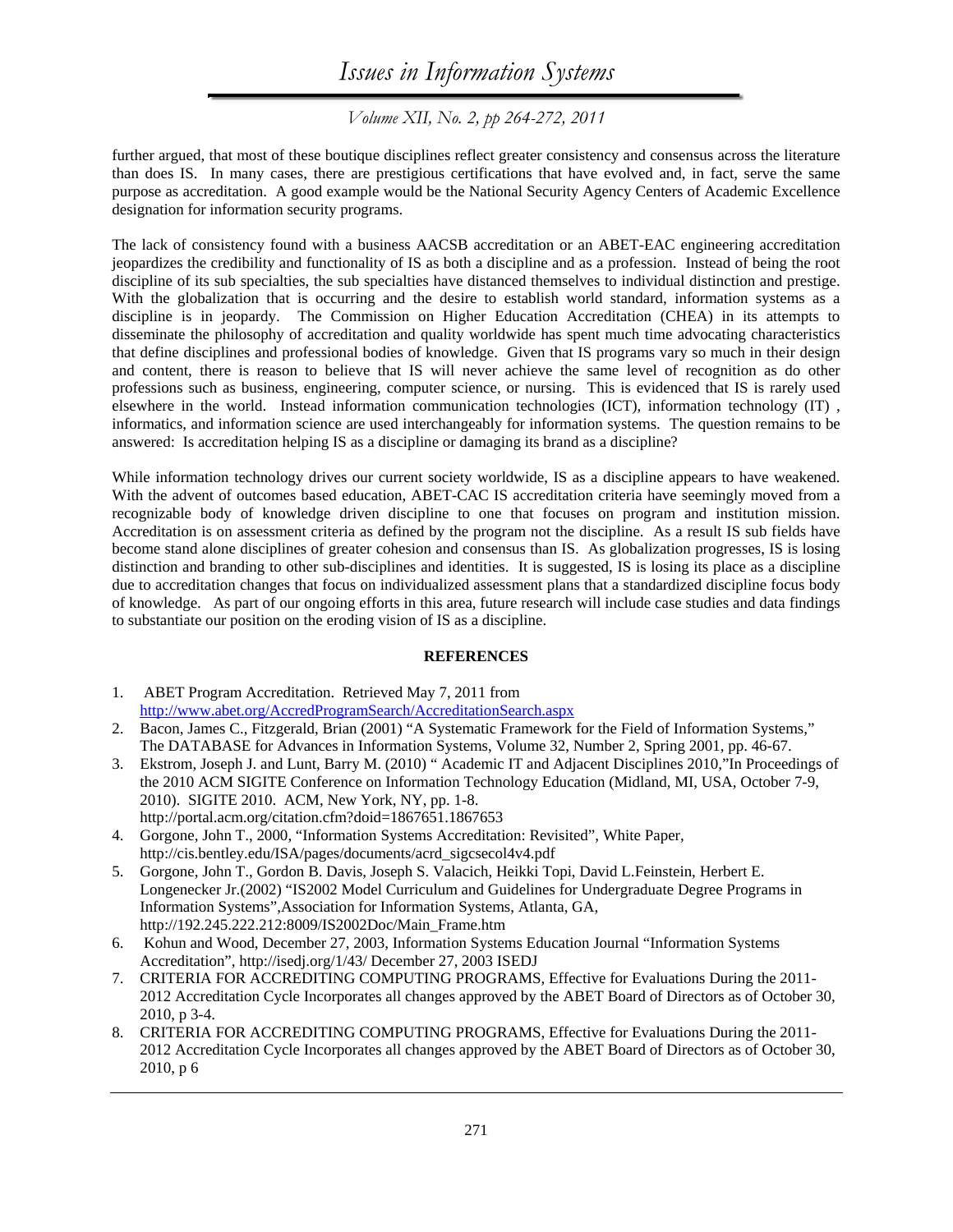*Volume XII, No. 2, pp 264-272, 2011* 

further argued, that most of these boutique disciplines reflect greater consistency and consensus across the literature than does IS. In many cases, there are prestigious certifications that have evolved and, in fact, serve the same purpose as accreditation. A good example would be the National Security Agency Centers of Academic Excellence designation for information security programs.

The lack of consistency found with a business AACSB accreditation or an ABET-EAC engineering accreditation jeopardizes the credibility and functionality of IS as both a discipline and as a profession. Instead of being the root discipline of its sub specialties, the sub specialties have distanced themselves to individual distinction and prestige. With the globalization that is occurring and the desire to establish world standard, information systems as a discipline is in jeopardy. The Commission on Higher Education Accreditation (CHEA) in its attempts to disseminate the philosophy of accreditation and quality worldwide has spent much time advocating characteristics that define disciplines and professional bodies of knowledge. Given that IS programs vary so much in their design and content, there is reason to believe that IS will never achieve the same level of recognition as do other professions such as business, engineering, computer science, or nursing. This is evidenced that IS is rarely used elsewhere in the world. Instead information communication technologies (ICT), information technology (IT) , informatics, and information science are used interchangeably for information systems. The question remains to be answered: Is accreditation helping IS as a discipline or damaging its brand as a discipline?

While information technology drives our current society worldwide, IS as a discipline appears to have weakened. With the advent of outcomes based education, ABET-CAC IS accreditation criteria have seemingly moved from a recognizable body of knowledge driven discipline to one that focuses on program and institution mission. Accreditation is on assessment criteria as defined by the program not the discipline. As a result IS sub fields have become stand alone disciplines of greater cohesion and consensus than IS. As globalization progresses, IS is losing distinction and branding to other sub-disciplines and identities. It is suggested, IS is losing its place as a discipline due to accreditation changes that focus on individualized assessment plans that a standardized discipline focus body of knowledge. As part of our ongoing efforts in this area, future research will include case studies and data findings to substantiate our position on the eroding vision of IS as a discipline.

#### **REFERENCES**

- 1. ABET Program Accreditation. Retrieved May 7, 2011 from http://www.abet.org/AccredProgramSearch/AccreditationSearch.aspx
- 2. Bacon, James C., Fitzgerald, Brian (2001) "A Systematic Framework for the Field of Information Systems," The DATABASE for Advances in Information Systems, Volume 32, Number 2, Spring 2001, pp. 46-67.
- 3. Ekstrom, Joseph J. and Lunt, Barry M. (2010) " Academic IT and Adjacent Disciplines 2010,"In Proceedings of the 2010 ACM SIGITE Conference on Information Technology Education (Midland, MI, USA, October 7-9, 2010). SIGITE 2010. ACM, New York, NY, pp. 1-8. http://portal.acm.org/citation.cfm?doid=1867651.1867653
- 4. Gorgone, John T., 2000, "Information Systems Accreditation: Revisited", White Paper, http://cis.bentley.edu/ISA/pages/documents/acrd\_sigcsecol4v4.pdf
- 5. Gorgone, John T., Gordon B. Davis, Joseph S. Valacich, Heikki Topi, David L.Feinstein, Herbert E. Longenecker Jr.(2002) "IS2002 Model Curriculum and Guidelines for Undergraduate Degree Programs in Information Systems",Association for Information Systems, Atlanta, GA, http://192.245.222.212:8009/IS2002Doc/Main\_Frame.htm
- 6. Kohun and Wood, December 27, 2003, Information Systems Education Journal "Information Systems Accreditation", http://isedj.org/1/43/ December 27, 2003 ISEDJ
- 7. CRITERIA FOR ACCREDITING COMPUTING PROGRAMS, Effective for Evaluations During the 2011- 2012 Accreditation Cycle Incorporates all changes approved by the ABET Board of Directors as of October 30, 2010, p 3-4.
- 8. CRITERIA FOR ACCREDITING COMPUTING PROGRAMS, Effective for Evaluations During the 2011- 2012 Accreditation Cycle Incorporates all changes approved by the ABET Board of Directors as of October 30, 2010, p 6